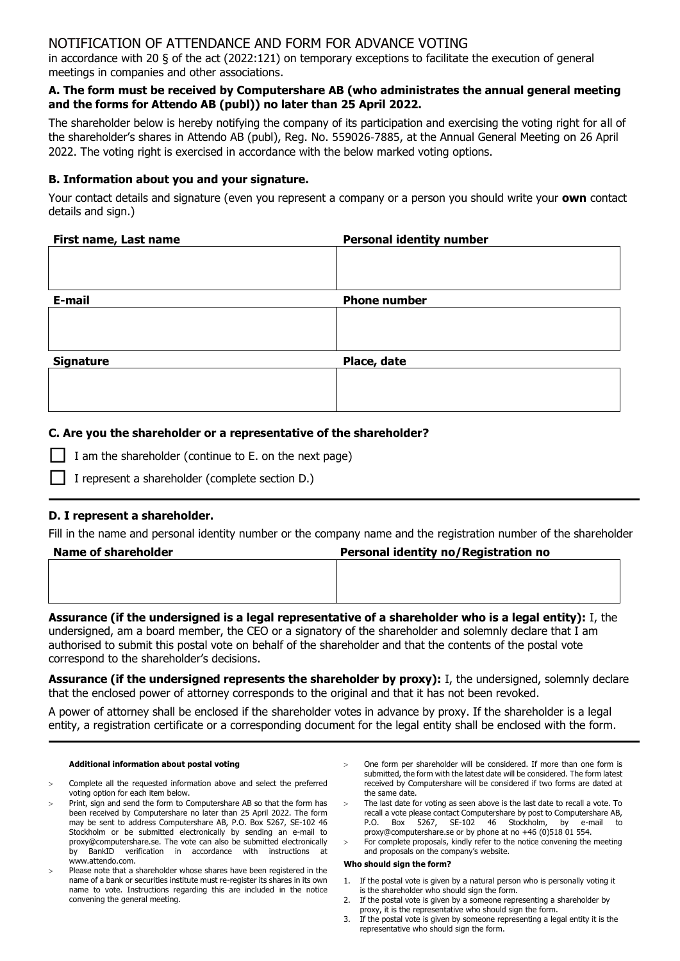# NOTIFICATION OF ATTENDANCE AND FORM FOR ADVANCE VOTING

in accordance with 20 § of the act (2022:121) on temporary exceptions to facilitate the execution of general meetings in companies and other associations.

### **A. The form must be received by Computershare AB (who administrates the annual general meeting and the forms for Attendo AB (publ)) no later than 25 April 2022.**

The shareholder below is hereby notifying the company of its participation and exercising the voting right for all of the shareholder's shares in Attendo AB (publ), Reg. No. 559026-7885, at the Annual General Meeting on 26 April 2022. The voting right is exercised in accordance with the below marked voting options.

## **B. Information about you and your signature.**

Your contact details and signature (even you represent a company or a person you should write your **own** contact details and sign.)

| First name, Last name | <b>Personal identity number</b> |  |  |
|-----------------------|---------------------------------|--|--|
|                       |                                 |  |  |
|                       |                                 |  |  |
|                       |                                 |  |  |
| E-mail                | <b>Phone number</b>             |  |  |
|                       |                                 |  |  |
|                       |                                 |  |  |
|                       |                                 |  |  |
| <b>Signature</b>      | Place, date                     |  |  |
|                       |                                 |  |  |
|                       |                                 |  |  |
|                       |                                 |  |  |

## **C. Are you the shareholder or a representative of the shareholder?**

|  | $\Box$ I am the shareholder (continue to E. on the next page) |  |  |
|--|---------------------------------------------------------------|--|--|
|--|---------------------------------------------------------------|--|--|

I represent a shareholder (complete section D.)

# **D. I represent a shareholder.**

Fill in the name and personal identity number or the company name and the registration number of the shareholder

| <b>Name of shareholder</b> | Personal identity no/Registration no |  |  |
|----------------------------|--------------------------------------|--|--|
|                            |                                      |  |  |
|                            |                                      |  |  |
|                            |                                      |  |  |

**Assurance (if the undersigned is a legal representative of a shareholder who is a legal entity):** I, the undersigned, am a board member, the CEO or a signatory of the shareholder and solemnly declare that I am authorised to submit this postal vote on behalf of the shareholder and that the contents of the postal vote correspond to the shareholder's decisions.

**Assurance (if the undersigned represents the shareholder by proxy):** I, the undersigned, solemnly declare that the enclosed power of attorney corresponds to the original and that it has not been revoked.

A power of attorney shall be enclosed if the shareholder votes in advance by proxy. If the shareholder is a legal entity, a registration certificate or a corresponding document for the legal entity shall be enclosed with the form.

### **Additional information about postal voting**

- Complete all the requested information above and select the preferred voting option for each item below.
- Print, sign and send the form to Computershare AB so that the form has been received by Computershare no later than 25 April 2022. The form may be sent to address Computershare AB, P.O. Box 5267, SE-102 46 Stockholm or be submitted electronically by sending an e-mail to proxy@computershare.se. The vote can also be submitted electronically by BankID verification in accordance with instructions at www.attendo.com.
- Please note that a shareholder whose shares have been registered in the name of a bank or securities institute must re-register its shares in its own name to vote. Instructions regarding this are included in the notice convening the general meeting.
- One form per shareholder will be considered. If more than one form is submitted, the form with the latest date will be considered. The form latest received by Computershare will be considered if two forms are dated at the same date.
- The last date for voting as seen above is the last date to recall a vote. To recall a vote please contact Computershare by post to Computershare AB, P.O. Box 5267, SE-102 46 Stockholm, by e-mail to proxy@computershare.se or by phone at no +46 (0)518 01 554.
- For complete proposals, kindly refer to the notice convening the meeting and proposals on the company's website.

### **Who should sign the form?**

- 1. If the postal vote is given by a natural person who is personally voting it is the shareholder who should sign the form.
- 2. If the postal vote is given by a someone representing a shareholder by proxy, it is the representative who should sign the form.
- 3. If the postal vote is given by someone representing a legal entity it is the representative who should sign the form.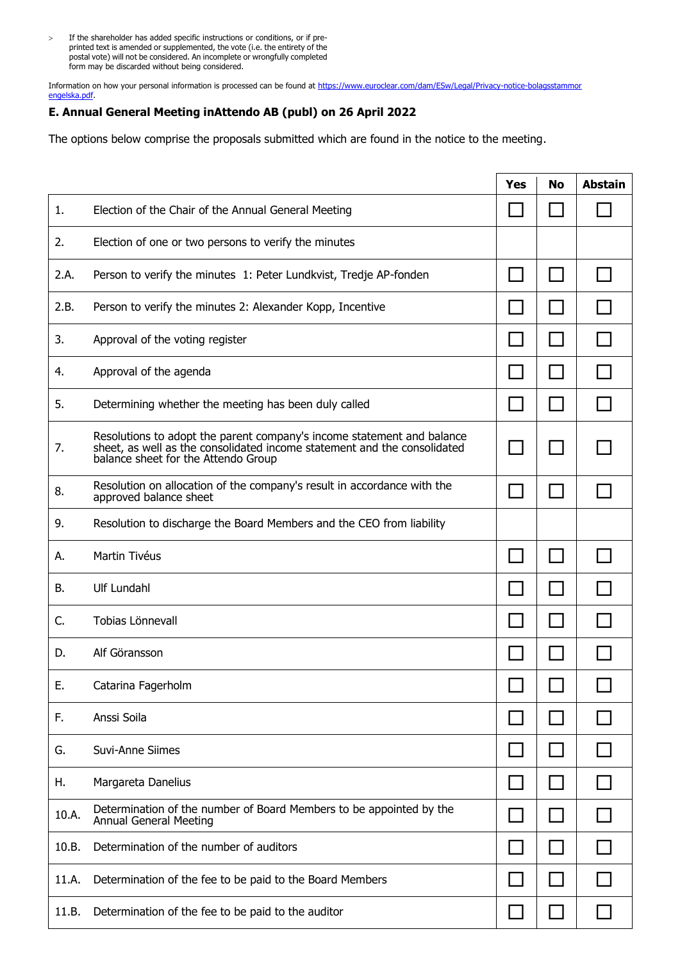> If the shareholder has added specific instructions or conditions, or if preprinted text is amended or supplemented, the vote (i.e. the entirety of the postal vote) will not be considered. An incomplete or wrongfully completed form may be discarded without being considered.

Information on how your personal information is processed can be found at https://www.euroclear.com/dam/ESw/Legal/Privacy-notice-bolagsstammor engelska.pdf

# **E. Annual General Meeting inAttendo AB (publ) on 26 April 2022**

The options below comprise the proposals submitted which are found in the notice to the meeting.

|       |                                                                                                                                                                                           | <b>Yes</b> | <b>No</b> | <b>Abstain</b> |
|-------|-------------------------------------------------------------------------------------------------------------------------------------------------------------------------------------------|------------|-----------|----------------|
| 1.    | Election of the Chair of the Annual General Meeting                                                                                                                                       |            |           |                |
| 2.    | Election of one or two persons to verify the minutes                                                                                                                                      |            |           |                |
| 2.A.  | Person to verify the minutes 1: Peter Lundkvist, Tredje AP-fonden                                                                                                                         |            |           |                |
| 2.B.  | Person to verify the minutes 2: Alexander Kopp, Incentive                                                                                                                                 |            |           |                |
| 3.    | Approval of the voting register                                                                                                                                                           |            |           |                |
| 4.    | Approval of the agenda                                                                                                                                                                    |            |           |                |
| 5.    | Determining whether the meeting has been duly called                                                                                                                                      |            |           |                |
| 7.    | Resolutions to adopt the parent company's income statement and balance<br>sheet, as well as the consolidated income statement and the consolidated<br>balance sheet for the Attendo Group |            |           |                |
| 8.    | Resolution on allocation of the company's result in accordance with the<br>approved balance sheet                                                                                         | $\sim$     |           |                |
| 9.    | Resolution to discharge the Board Members and the CEO from liability                                                                                                                      |            |           |                |
| А.    | Martin Tivéus                                                                                                                                                                             |            |           |                |
| В.    | <b>Ulf Lundahl</b>                                                                                                                                                                        |            |           |                |
| C.    | Tobias Lönnevall                                                                                                                                                                          |            |           |                |
| D.    | Alf Göransson                                                                                                                                                                             |            |           |                |
| E.    | Catarina Fagerholm                                                                                                                                                                        |            |           |                |
| F.    | Anssi Soila                                                                                                                                                                               |            |           |                |
| G.    | Suvi-Anne Siimes                                                                                                                                                                          |            |           |                |
| Н.    | Margareta Danelius                                                                                                                                                                        |            |           |                |
| 10.A. | Determination of the number of Board Members to be appointed by the<br><b>Annual General Meeting</b>                                                                                      |            |           |                |
| 10.B. | Determination of the number of auditors                                                                                                                                                   |            |           |                |
| 11.A. | Determination of the fee to be paid to the Board Members                                                                                                                                  |            |           |                |
| 11.B. | Determination of the fee to be paid to the auditor                                                                                                                                        |            |           |                |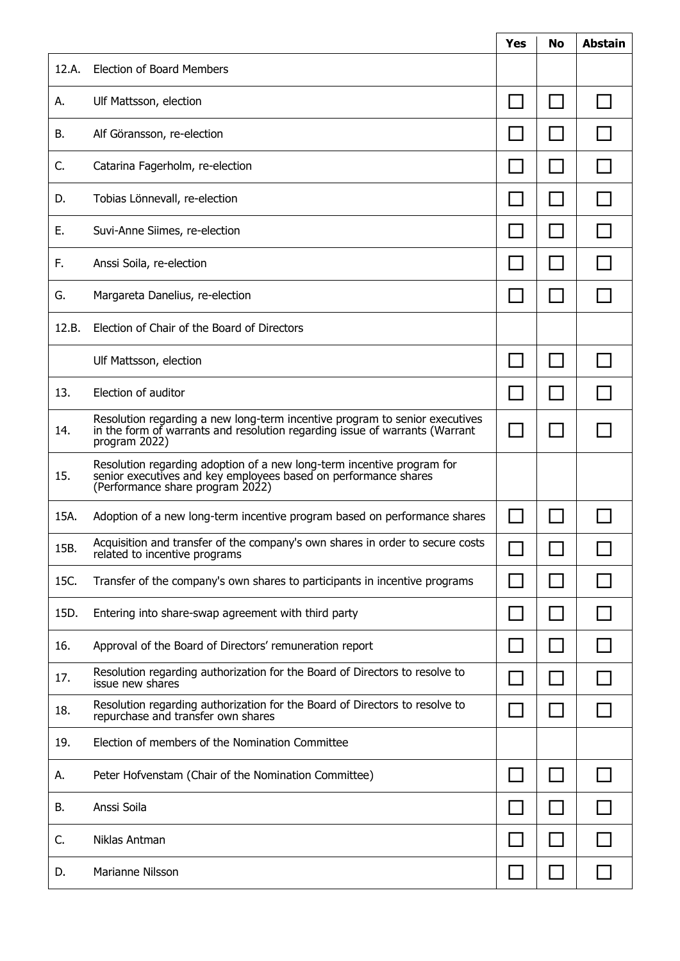|       |                                                                                                                                                                               | <b>Yes</b> | No | <b>Abstain</b> |
|-------|-------------------------------------------------------------------------------------------------------------------------------------------------------------------------------|------------|----|----------------|
| 12.A. | <b>Election of Board Members</b>                                                                                                                                              |            |    |                |
| А.    | Ulf Mattsson, election                                                                                                                                                        |            |    |                |
| В.    | Alf Göransson, re-election                                                                                                                                                    |            |    |                |
| C.    | Catarina Fagerholm, re-election                                                                                                                                               |            |    |                |
| D.    | Tobias Lönnevall, re-election                                                                                                                                                 |            |    |                |
| Ε.    | Suvi-Anne Siimes, re-election                                                                                                                                                 |            |    |                |
| F.    | Anssi Soila, re-election                                                                                                                                                      |            |    |                |
| G.    | Margareta Danelius, re-election                                                                                                                                               |            |    |                |
| 12.B. | Election of Chair of the Board of Directors                                                                                                                                   |            |    |                |
|       | Ulf Mattsson, election                                                                                                                                                        |            |    |                |
| 13.   | Election of auditor                                                                                                                                                           |            |    |                |
| 14.   | Resolution regarding a new long-term incentive program to senior executives<br>in the form of warrants and resolution regarding issue of warrants (Warrant<br>program 2022)   |            |    |                |
| 15.   | Resolution regarding adoption of a new long-term incentive program for<br>senior executives and key employees based on performance shares<br>(Performance share program 2022) |            |    |                |
| 15A.  | Adoption of a new long-term incentive program based on performance shares                                                                                                     |            |    |                |
| 15B.  | Acquisition and transfer of the company's own shares in order to secure costs<br>related to incentive programs                                                                |            |    |                |
| 15C.  | Transfer of the company's own shares to participants in incentive programs                                                                                                    |            |    |                |
| 15D.  | Entering into share-swap agreement with third party                                                                                                                           |            |    |                |
| 16.   | Approval of the Board of Directors' remuneration report                                                                                                                       |            |    |                |
| 17.   | Resolution regarding authorization for the Board of Directors to resolve to<br>issue new shares                                                                               |            |    |                |
| 18.   | Resolution regarding authorization for the Board of Directors to resolve to<br>repurchase and transfer own shares                                                             |            |    |                |
| 19.   | Election of members of the Nomination Committee                                                                                                                               |            |    |                |
| А.    | Peter Hofvenstam (Chair of the Nomination Committee)                                                                                                                          |            |    |                |
| В.    | Anssi Soila                                                                                                                                                                   |            |    |                |
| C.    | Niklas Antman                                                                                                                                                                 |            |    |                |
| D.    | Marianne Nilsson                                                                                                                                                              |            |    |                |